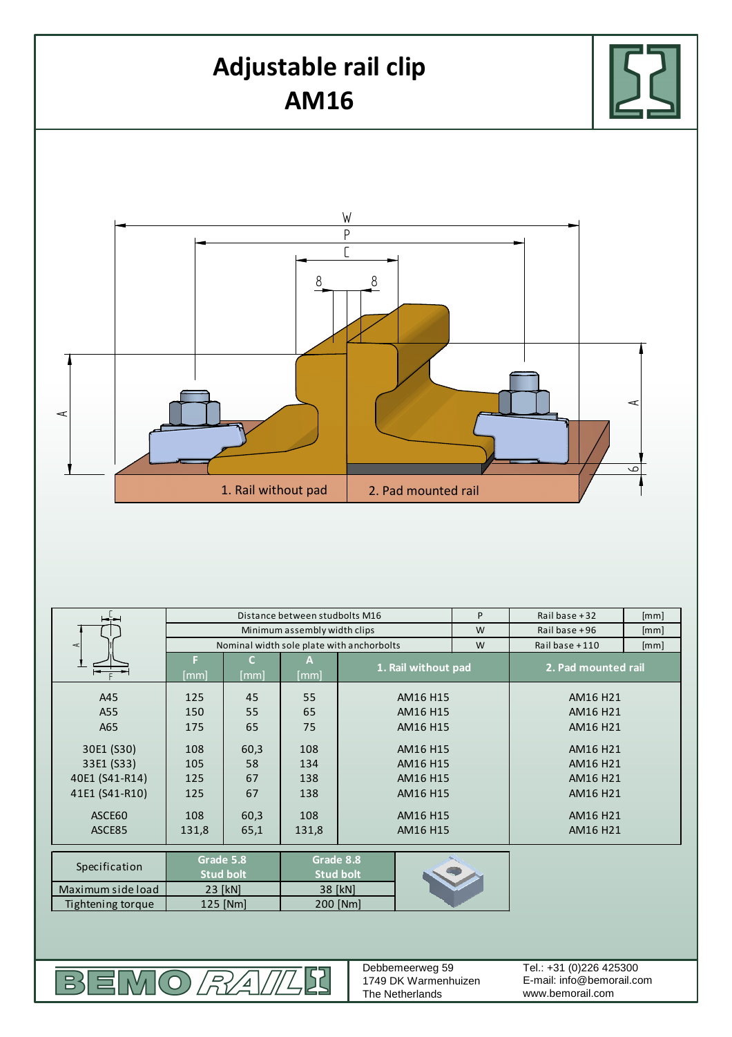

|                   | Distance between studbolts M16            |            |           |                               | P | Rail base +32       | [mm]     |  |
|-------------------|-------------------------------------------|------------|-----------|-------------------------------|---|---------------------|----------|--|
|                   | Minimum assembly width clips              |            |           |                               | W | Rail base +96       | [mm]     |  |
| ⋖                 | Nominal width sole plate with anchorbolts |            |           |                               | W | Rail base +110      | [mm]     |  |
|                   | ы<br>[mm]                                 | C.<br>[mm] | А<br>[mm] | 1. Rail without pad           |   | 2. Pad mounted rail |          |  |
| A45               | 125                                       | 45         | 55        | AM16 H15                      |   | AM16 H21            |          |  |
| A55               | 150                                       | 55         | 65        | AM16 H15                      |   | AM16 H21            |          |  |
| A65               | 175                                       | 65         | 75        | AM16 H15                      |   |                     | AM16 H21 |  |
| 30E1 (S30)        | 108                                       | 60,3       | 108       | AM16 H15                      |   | AM16 H21            |          |  |
| 33E1 (S33)        | 105                                       | 58         | 134       | AM16 H15                      |   | AM16 H21            |          |  |
| 40E1 (S41-R14)    | 125                                       | 67         | 138       | AM16 H15                      |   | AM16 H21            |          |  |
| 41E1 (S41-R10)    | 125                                       | 67         | 138       | AM16 H15                      |   | AM16 H21            |          |  |
| ASCE60            | 108                                       | 60,3       | 108       | AM16 H15                      |   | AM16 H21            |          |  |
| ASCE85            | 131,8                                     | 65,1       | 131,8     | AM16 H15                      |   | AM16 H21            |          |  |
|                   |                                           |            |           |                               |   |                     |          |  |
| Specification     | Grade 5.8<br><b>Stud bolt</b>             |            |           | Grade 8.8<br><b>Stud bolt</b> |   |                     |          |  |
| Maximum side load | 23 [kN]                                   |            |           | 38 [kN]                       |   |                     |          |  |
| Tightening torque | 125 [Nm]                                  |            |           | 200 [Nm]                      |   |                     |          |  |
|                   |                                           |            |           |                               |   |                     |          |  |

BEMO*RAIL*  $\sqrt{2}$  Debbemeerweg 59 1749 DK Warmenhuizen The Netherlands

E-mail: info@bemorail.com www.bemorail.com Tel.: +31 (0)226 425300